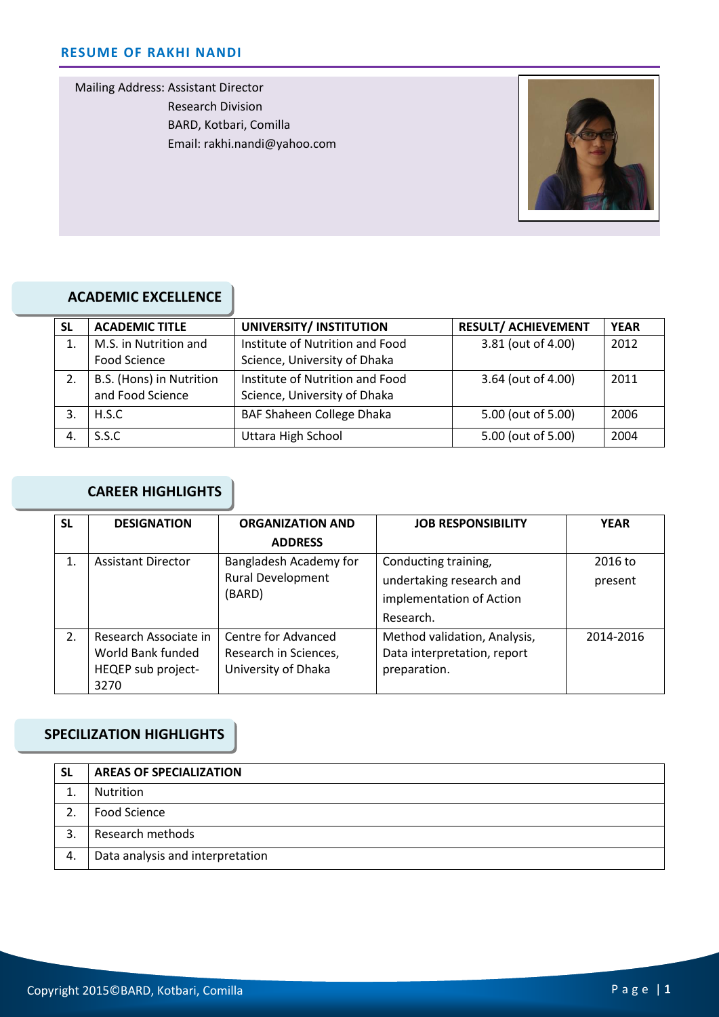Mailing Address: Assistant Director Research Division BARD, Kotbari, Comilla Email: rakhi.nandi@yahoo.com



# **ACADEMIC EXCELLENCE**

| <b>SL</b> | <b>ACADEMIC TITLE</b>    | UNIVERSITY/ INSTITUTION         | <b>RESULT/ ACHIEVEMENT</b> | <b>YEAR</b> |
|-----------|--------------------------|---------------------------------|----------------------------|-------------|
| 1.        | M.S. in Nutrition and    | Institute of Nutrition and Food | 3.81 (out of 4.00)         | 2012        |
|           | Food Science             | Science, University of Dhaka    |                            |             |
| 2.        | B.S. (Hons) in Nutrition | Institute of Nutrition and Food | 3.64 (out of 4.00)         | 2011        |
|           | and Food Science         | Science, University of Dhaka    |                            |             |
|           | H.S.C                    | BAF Shaheen College Dhaka       | 5.00 (out of 5.00)         | 2006        |
|           | S.S.C.                   | Uttara High School              | 5.00 (out of 5.00)         | 2004        |

# **CAREER HIGHLIGHTS**

| <b>SL</b> | <b>DESIGNATION</b>        | <b>ORGANIZATION AND</b>  | <b>JOB RESPONSIBILITY</b>    | <b>YEAR</b> |
|-----------|---------------------------|--------------------------|------------------------------|-------------|
|           |                           | <b>ADDRESS</b>           |                              |             |
| 1.        | <b>Assistant Director</b> | Bangladesh Academy for   | Conducting training,         | 2016 to     |
|           |                           | <b>Rural Development</b> | undertaking research and     | present     |
|           |                           | (BARD)                   | implementation of Action     |             |
|           |                           |                          | Research.                    |             |
| 2.        | Research Associate in     | Centre for Advanced      | Method validation, Analysis, | 2014-2016   |
|           | World Bank funded         | Research in Sciences,    | Data interpretation, report  |             |
|           | HEQEP sub project-        | University of Dhaka      | preparation.                 |             |
|           | 3270                      |                          |                              |             |

### **SPECILIZATION HIGHLIGHTS**

| <b>SL</b> | <b>AREAS OF SPECIALIZATION</b>   |
|-----------|----------------------------------|
|           | Nutrition                        |
|           | Food Science                     |
| 3         | Research methods                 |
| 4.        | Data analysis and interpretation |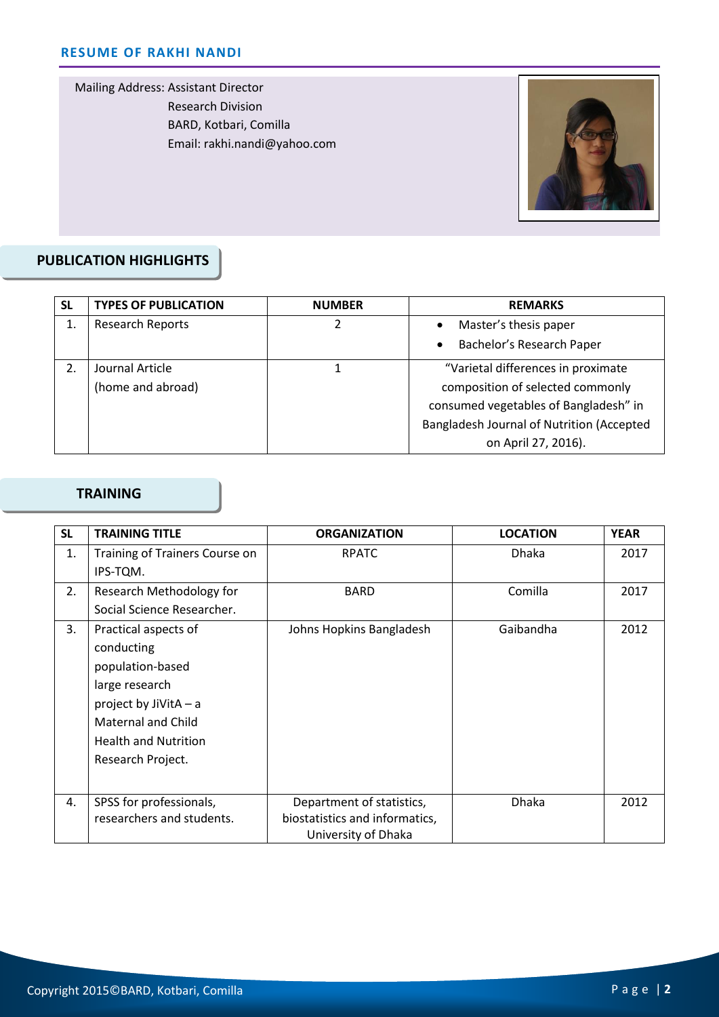Mailing Address: Assistant Director Research Division BARD, Kotbari, Comilla Email: rakhi.nandi@yahoo.com



#### Cell: **PUBLICATION HIGHLIGHTS**

| <b>SL</b>        | <b>TYPES OF PUBLICATION</b> | <b>NUMBER</b> | <b>REMARKS</b>                            |
|------------------|-----------------------------|---------------|-------------------------------------------|
| 1.               | <b>Research Reports</b>     |               | Master's thesis paper                     |
|                  |                             |               | Bachelor's Research Paper                 |
| $\mathfrak{D}$ . | Journal Article             |               | "Varietal differences in proximate        |
|                  | (home and abroad)           |               | composition of selected commonly          |
|                  |                             |               | consumed vegetables of Bangladesh" in     |
|                  |                             |               | Bangladesh Journal of Nutrition (Accepted |
|                  |                             |               | on April 27, 2016).                       |

#### **TRAINING**

| <b>SL</b> | <b>TRAINING TITLE</b>          | <b>ORGANIZATION</b>            | <b>LOCATION</b> | <b>YEAR</b> |
|-----------|--------------------------------|--------------------------------|-----------------|-------------|
| 1.        | Training of Trainers Course on | <b>RPATC</b>                   | <b>Dhaka</b>    | 2017        |
|           | IPS-TQM.                       |                                |                 |             |
| 2.        | Research Methodology for       | <b>BARD</b>                    | Comilla         | 2017        |
|           | Social Science Researcher.     |                                |                 |             |
| 3.        | Practical aspects of           | Johns Hopkins Bangladesh       | Gaibandha       | 2012        |
|           | conducting                     |                                |                 |             |
|           | population-based               |                                |                 |             |
|           | large research                 |                                |                 |             |
|           | project by JiVitA - a          |                                |                 |             |
|           | <b>Maternal and Child</b>      |                                |                 |             |
|           | <b>Health and Nutrition</b>    |                                |                 |             |
|           | Research Project.              |                                |                 |             |
|           |                                |                                |                 |             |
| 4.        | SPSS for professionals,        | Department of statistics,      | <b>Dhaka</b>    | 2012        |
|           | researchers and students.      | biostatistics and informatics, |                 |             |
|           |                                | University of Dhaka            |                 |             |